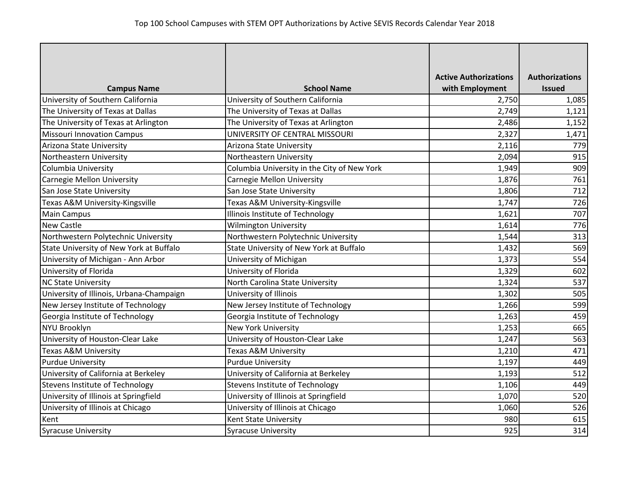|                                          |                                             | <b>Active Authorizations</b> | <b>Authorizations</b> |
|------------------------------------------|---------------------------------------------|------------------------------|-----------------------|
| <b>Campus Name</b>                       | <b>School Name</b>                          | with Employment              | <b>Issued</b>         |
| University of Southern California        | University of Southern California           | 2,750                        | 1,085                 |
| The University of Texas at Dallas        | The University of Texas at Dallas           | 2,749                        | 1,121                 |
| The University of Texas at Arlington     | The University of Texas at Arlington        | 2,486                        | 1,152                 |
| <b>Missouri Innovation Campus</b>        | UNIVERSITY OF CENTRAL MISSOURI              | 2,327                        | 1,471                 |
| Arizona State University                 | Arizona State University                    | 2,116                        | 779                   |
| Northeastern University                  | Northeastern University                     | 2,094                        | 915                   |
| Columbia University                      | Columbia University in the City of New York | 1,949                        | 909                   |
| <b>Carnegie Mellon University</b>        | <b>Carnegie Mellon University</b>           | 1,876                        | 761                   |
| San Jose State University                | San Jose State University                   | 1,806                        | 712                   |
| Texas A&M University-Kingsville          | Texas A&M University-Kingsville             | 1,747                        | 726                   |
| <b>Main Campus</b>                       | Illinois Institute of Technology            | 1,621                        | 707                   |
| <b>New Castle</b>                        | <b>Wilmington University</b>                | 1,614                        | 776                   |
| Northwestern Polytechnic University      | Northwestern Polytechnic University         | 1,544                        | 313                   |
| State University of New York at Buffalo  | State University of New York at Buffalo     | 1,432                        | 569                   |
| University of Michigan - Ann Arbor       | University of Michigan                      | 1,373                        | 554                   |
| University of Florida                    | University of Florida                       | 1,329                        | 602                   |
| <b>NC State University</b>               | North Carolina State University             | 1,324                        | 537                   |
| University of Illinois, Urbana-Champaign | University of Illinois                      | 1,302                        | 505                   |
| New Jersey Institute of Technology       | New Jersey Institute of Technology          | 1,266                        | 599                   |
| Georgia Institute of Technology          | Georgia Institute of Technology             | 1,263                        | 459                   |
| NYU Brooklyn                             | <b>New York University</b>                  | 1,253                        | 665                   |
| University of Houston-Clear Lake         | University of Houston-Clear Lake            | 1,247                        | 563                   |
| <b>Texas A&amp;M University</b>          | Texas A&M University                        | 1,210                        | 471                   |
| <b>Purdue University</b>                 | <b>Purdue University</b>                    | 1,197                        | 449                   |
| University of California at Berkeley     | University of California at Berkeley        | 1,193                        | 512                   |
| <b>Stevens Institute of Technology</b>   | <b>Stevens Institute of Technology</b>      | 1,106                        | 449                   |
| University of Illinois at Springfield    | University of Illinois at Springfield       | 1,070                        | 520                   |
| University of Illinois at Chicago        | University of Illinois at Chicago           | 1,060                        | 526                   |
| Kent                                     | Kent State University                       | 980                          | 615                   |
| <b>Syracuse University</b>               | <b>Syracuse University</b>                  | 925                          | 314                   |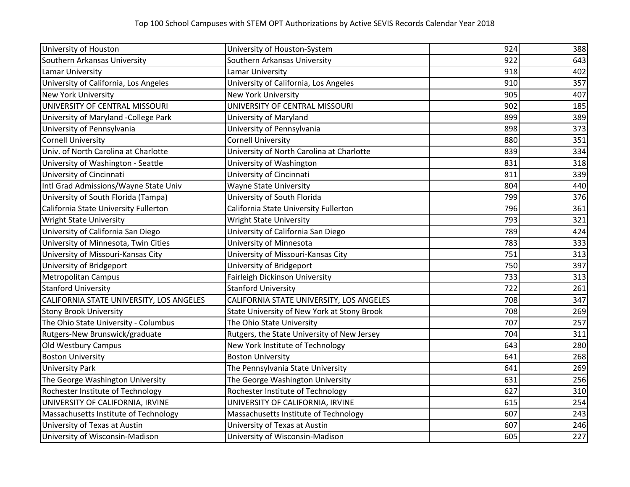| University of Houston                    | University of Houston-System                | 924 | 388 |
|------------------------------------------|---------------------------------------------|-----|-----|
| Southern Arkansas University             | Southern Arkansas University                | 922 | 643 |
| Lamar University                         | Lamar University                            | 918 | 402 |
| University of California, Los Angeles    | University of California, Los Angeles       | 910 | 357 |
| <b>New York University</b>               | <b>New York University</b>                  | 905 | 407 |
| UNIVERSITY OF CENTRAL MISSOURI           | UNIVERSITY OF CENTRAL MISSOURI              | 902 | 185 |
| University of Maryland -College Park     | University of Maryland                      | 899 | 389 |
| University of Pennsylvania               | University of Pennsylvania                  | 898 | 373 |
| <b>Cornell University</b>                | <b>Cornell University</b>                   | 880 | 351 |
| Univ. of North Carolina at Charlotte     | University of North Carolina at Charlotte   | 839 | 334 |
| University of Washington - Seattle       | University of Washington                    | 831 | 318 |
| University of Cincinnati                 | University of Cincinnati                    | 811 | 339 |
| Intl Grad Admissions/Wayne State Univ    | <b>Wayne State University</b>               | 804 | 440 |
| University of South Florida (Tampa)      | University of South Florida                 | 799 | 376 |
| California State University Fullerton    | California State University Fullerton       | 796 | 361 |
| <b>Wright State University</b>           | <b>Wright State University</b>              | 793 | 321 |
| University of California San Diego       | University of California San Diego          | 789 | 424 |
| University of Minnesota, Twin Cities     | University of Minnesota                     | 783 | 333 |
| University of Missouri-Kansas City       | University of Missouri-Kansas City          | 751 | 313 |
| University of Bridgeport                 | University of Bridgeport                    | 750 | 397 |
| <b>Metropolitan Campus</b>               | Fairleigh Dickinson University              | 733 | 313 |
| <b>Stanford University</b>               | <b>Stanford University</b>                  | 722 | 261 |
| CALIFORNIA STATE UNIVERSITY, LOS ANGELES | CALIFORNIA STATE UNIVERSITY, LOS ANGELES    | 708 | 347 |
| <b>Stony Brook University</b>            | State University of New York at Stony Brook | 708 | 269 |
| The Ohio State University - Columbus     | The Ohio State University                   | 707 | 257 |
| Rutgers-New Brunswick/graduate           | Rutgers, the State University of New Jersey | 704 | 311 |
| Old Westbury Campus                      | New York Institute of Technology            | 643 | 280 |
| <b>Boston University</b>                 | <b>Boston University</b>                    | 641 | 268 |
| <b>University Park</b>                   | The Pennsylvania State University           | 641 | 269 |
| The George Washington University         | The George Washington University            | 631 | 256 |
| Rochester Institute of Technology        | Rochester Institute of Technology           | 627 | 310 |
| UNIVERSITY OF CALIFORNIA, IRVINE         | UNIVERSITY OF CALIFORNIA, IRVINE            | 615 | 254 |
| Massachusetts Institute of Technology    | Massachusetts Institute of Technology       | 607 | 243 |
| University of Texas at Austin            | University of Texas at Austin               | 607 | 246 |
| University of Wisconsin-Madison          | University of Wisconsin-Madison             | 605 | 227 |